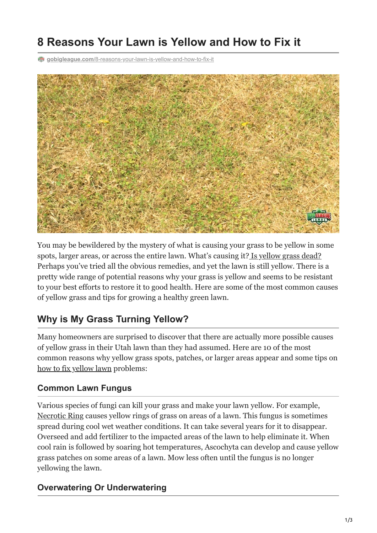# **8 Reasons Your Lawn is Yellow and How to Fix it**

**gobigleague.com**[/8-reasons-your-lawn-is-yellow-and-how-to-fix-it](https://gobigleague.com/8-reasons-your-lawn-is-yellow-and-how-to-fix-it/)



You may be bewildered by the mystery of what is causing your grass to be yellow in some spots, larger areas, or across the entire lawn. What's causing it? [Is yellow grass dead?](https://gobigleague.com/why-choose-big-league-lawns/) Perhaps you've tried all the obvious remedies, and yet the lawn is still yellow. There is a pretty wide range of potential reasons why your grass is yellow and seems to be resistant to your best efforts to restore it to good health. Here are some of the most common causes of yellow grass and tips for growing a healthy green lawn.

# **Why is My Grass Turning Yellow?**

Many homeowners are surprised to discover that there are actually more possible causes of yellow grass in their Utah lawn than they had assumed. Here are 10 of the most common reasons why yellow grass spots, patches, or larger areas appear and some tips on [how to fix yellow lawn](https://gobigleague.com/5-simple-tips-to-make-grass-green-in-utah/) problems:

#### **Common Lawn Fungus**

Various species of fungi can kill your grass and make your lawn yellow. For example, [Necrotic Ring](https://gobigleague.com/necrotic-ring-spot-in-lawns-a-primer/) causes yellow rings of grass on areas of a lawn. This fungus is sometimes spread during cool wet weather conditions. It can take several years for it to disappear. Overseed and add fertilizer to the impacted areas of the lawn to help eliminate it. When cool rain is followed by soaring hot temperatures, Ascochyta can develop and cause yellow grass patches on some areas of a lawn. Mow less often until the fungus is no longer yellowing the lawn.

#### **Overwatering Or Underwatering**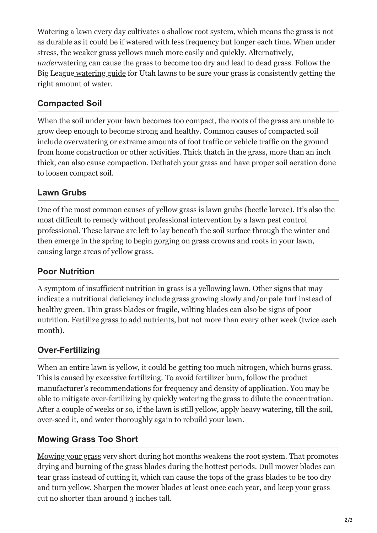Watering a lawn every day cultivates a shallow root system, which means the grass is not as durable as it could be if watered with less frequency but longer each time. When under stress, the weaker grass yellows much more easily and quickly. Alternatively, *under*watering can cause the grass to become too dry and lead to dead grass. Follow the Big Leagu[e watering guide](https://gobigleague.com/lawn-watering-guide-utah/) for Utah lawns to be sure your grass is consistently getting the right amount of water.

#### **Compacted Soil**

When the soil under your lawn becomes too compact, the roots of the grass are unable to grow deep enough to become strong and healthy. Common causes of compacted soil include overwatering or extreme amounts of foot traffic or vehicle traffic on the ground from home construction or other activities. Thick thatch in the grass, more than an inch thick, can also cause compaction. Dethatch your grass and have proper [soil aeration](https://gobigleague.com/lawn-aerator-service-utah/) done to loosen compact soil.

#### **Lawn Grubs**

One of the most common causes of yellow grass is [lawn grubs](https://gobigleague.com/lawn-grub-prevention-control/) (beetle larvae). It's also the most difficult to remedy without professional intervention by a lawn pest control professional. These larvae are left to lay beneath the soil surface through the winter and then emerge in the spring to begin gorging on grass crowns and roots in your lawn, causing large areas of yellow grass.

#### **Poor Nutrition**

A symptom of insufficient nutrition in grass is a yellowing lawn. Other signs that may indicate a nutritional deficiency include grass growing slowly and/or pale turf instead of healthy green. Thin grass blades or fragile, wilting blades can also be signs of poor nutrition. [Fertilize grass to add nutrients,](https://gobigleague.com/the-dos-and-donts-of-lawn-fertilization/) but not more than every other week (twice each month).

## **Over-Fertilizing**

When an entire lawn is yellow, it could be getting too much nitrogen, which burns grass. This is caused by excessive [fertilizing](https://gobigleague.com/lawn-fertilization-services-utah/). To avoid fertilizer burn, follow the product manufacturer's recommendations for frequency and density of application. You may be able to mitigate over-fertilizing by quickly watering the grass to dilute the concentration. After a couple of weeks or so, if the lawn is still yellow, apply heavy watering, till the soil, over-seed it, and water thoroughly again to rebuild your lawn.

#### **Mowing Grass Too Short**

[Mowing your grass](https://gobigleague.com/5-smart-mowing-tips-for-a-lush-green-lawn/) very short during hot months weakens the root system. That promotes drying and burning of the grass blades during the hottest periods. Dull mower blades can tear grass instead of cutting it, which can cause the tops of the grass blades to be too dry and turn yellow. Sharpen the mower blades at least once each year, and keep your grass cut no shorter than around 3 inches tall.